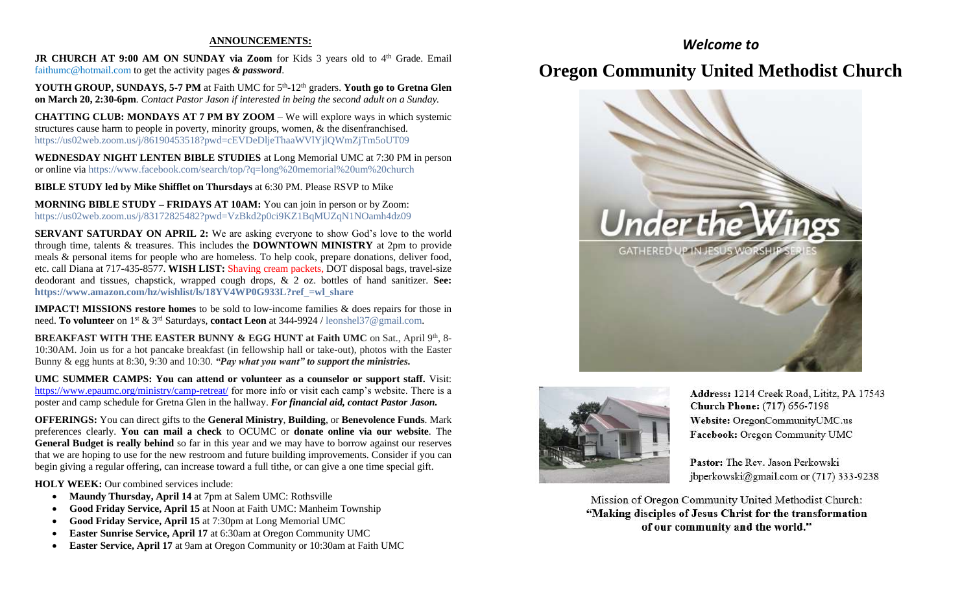#### **ANNOUNCEMENTS:**

JR CHURCH AT 9:00 AM ON SUNDAY via Zoom for Kids 3 years old to 4<sup>th</sup> Grade. Email [faithumc@hotmail.com](about:blank) to get the activity pages *& password*.

YOUTH GROUP, SUNDAYS, 5-7 PM at Faith UMC for 5<sup>th</sup>-12<sup>th</sup> graders. Youth go to Gretna Glen **on March 20, 2:30-6pm***. Contact Pastor Jason if interested in being the second adult on a Sunday.*

**CHATTING CLUB: MONDAYS AT 7 PM BY ZOOM** – We will explore ways in which systemic structures cause harm to people in poverty, minority groups, women, & the disenfranchised. https://us02web.zoom.us/j/86190453518?pwd=cEVDeDljeThaaWVlYjlQWmZjTm5oUT09

**WEDNESDAY NIGHT LENTEN BIBLE STUDIES** at Long Memorial UMC at 7:30 PM in person or online via <https://www.facebook.com/search/top/?q=long%20memorial%20um%20church>

**BIBLE STUDY led by Mike Shifflet on Thursdays** at 6:30 PM. Please RSVP to Mike

**MORNING BIBLE STUDY – FRIDAYS AT 10AM:** You can join in person or by Zoom: [https://us02web.zoom.us/j/83172825482?pwd=VzBkd2p0ci9KZ1BqMUZqN1NOamh4dz09](about:blank)

**SERVANT SATURDAY ON APRIL 2:** We are asking everyone to show God's love to the world through time, talents & treasures. This includes the **DOWNTOWN MINISTRY** at 2pm to provide meals & personal items for people who are homeless. To help cook, prepare donations, deliver food, etc. call Diana at 717-435-8577. **WISH LIST:** Shaving cream packets, DOT disposal bags, travel-size deodorant and tissues, chapstick, wrapped cough drops, & 2 oz. bottles of hand sanitizer. **See: [https://www.amazon.com/hz/wishlist/ls/18YV4WP0G933L?ref\\_=wl\\_share](about:blank)**

**IMPACT! MISSIONS restore homes** to be sold to low-income families & does repairs for those in need. **To volunteer** on 1st & 3rd Saturdays, **contact Leon** at 344-9924 / [leonshel37@gmail.com.](about:blank)

**BREAKFAST WITH THE EASTER BUNNY & EGG HUNT at Faith UMC** on Sat., April 9<sup>th</sup>, 8-10:30AM. Join us for a hot pancake breakfast (in fellowship hall or take-out), photos with the Easter Bunny & egg hunts at 8:30, 9:30 and 10:30. *"Pay what you want" to support the ministries.*

**UMC SUMMER CAMPS: You can attend or volunteer as a counselor or support staff.** Visit: <https://www.epaumc.org/ministry/camp-retreat/> for more info or visit each camp's website. There is a poster and camp schedule for Gretna Glen in the hallway. *For financial aid, contact Pastor Jason.*

**OFFERINGS:** You can direct gifts to the **General Ministry**, **Building**, or **Benevolence Funds**. Mark preferences clearly. **You can mail a check** to OCUMC or **donate online via our website**. The **General Budget is really behind** so far in this year and we may have to borrow against our reserves that we are hoping to use for the new restroom and future building improvements. Consider if you can begin giving a regular offering, can increase toward a full tithe, or can give a one time special gift.

**HOLY WEEK:** Our combined services include:

- **Maundy Thursday, April 14** at 7pm at Salem UMC: Rothsville
- **Good Friday Service, April 15** at Noon at Faith UMC: Manheim Township
- **Good Friday Service, April 15** at 7:30pm at Long Memorial UMC
- **Easter Sunrise Service, April 17** at 6:30am at Oregon Community UMC
- **Easter Service, April 17** at 9am at Oregon Community or 10:30am at Faith UMC

### *Welcome to*

# **Oregon Community United Methodist Church**





Address: 1214 Creek Road, Lititz, PA 17543 **Church Phone:** (717) 656-7198 Website: OregonCommunityUMC.us Facebook: Oregon Community UMC

Pastor: The Rev. Jason Perkowski jbperkowski@gmail.com or (717) 333-9238

Mission of Oregon Community United Methodist Church: "Making disciples of Jesus Christ for the transformation of our community and the world."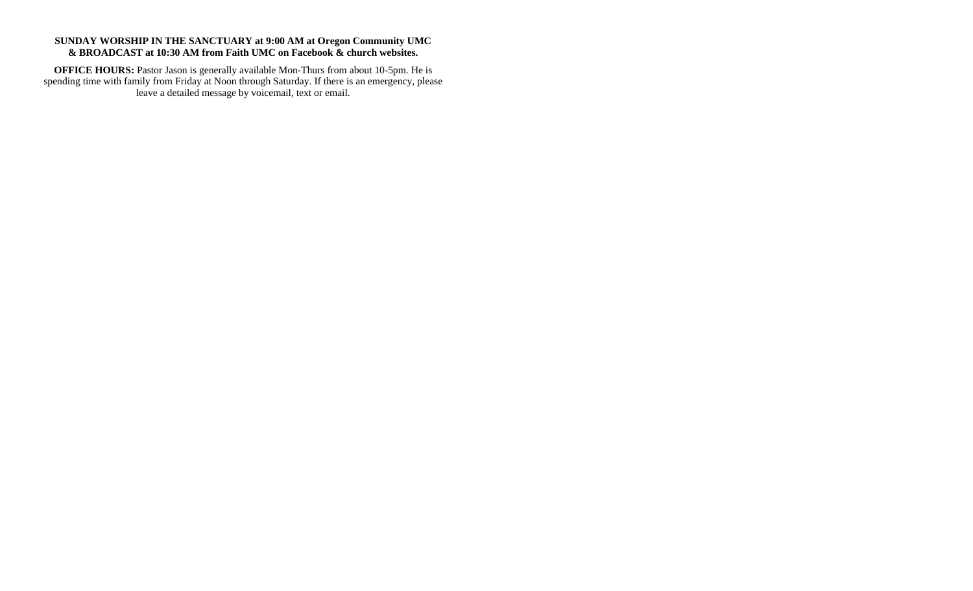### **SUNDAY WORSHIP IN THE SANCTUARY at 9:00 AM at Oregon Community UMC & BROADCAST at 10:30 AM from Faith UMC on Facebook & church websites.**

**OFFICE HOURS:** Pastor Jason is generally available Mon-Thurs from about 10-5pm. He is spending time with family from Friday at Noon through Saturday. If there is an emergency, please leave a detailed message by voicemail, text or email.